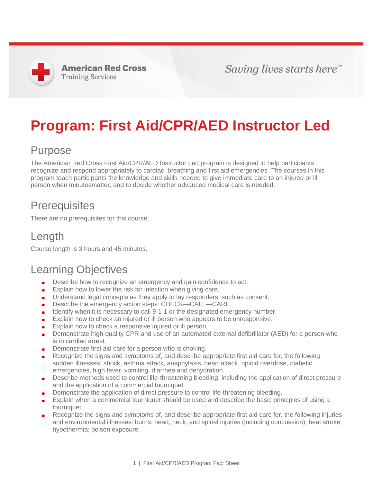**American Red Cross Training Services** 

Saving lives starts here™

# **Program: First Aid/CPR/AED Instructor Led**

#### Purpose

The American Red Cross First Aid/CPR/AED Instructor Led program is designed to help participants recognize and respond appropriately to cardiac, breathing and first aid emergencies. The courses in this program teach participants the knowledge and skills needed to give immediate care to an injured or ill person when minutesmatter, and to decide whether advanced medical care is needed.

#### **Prerequisites**

There are no prerequisites for this course.

### Length

Course length is 3 hours and 45 minutes.

#### Learning Objectives

- Describe how to recognize an emergency and gain confidence to act.
- Explain how to lower the risk for infection when giving care.
- Understand legal concepts as they apply to lay responders, such as consent.
- Describe the emergency action steps: CHECK—CALL—CARE.
- Identify when it is necessary to call 9-1-1 or the designated emergency number.
- Explain how to check an injured or ill person who appears to be unresponsive.
- Explain how to check a responsive injured or ill person.
- Demonstrate high-quality CPR and use of an automated external defibrillator (AED) for a person who is in cardiac arrest.
- Demonstrate first aid care for a person who is choking.
- Recognize the signs and symptoms of, and describe appropriate first aid care for, the following sudden illnesses: shock, asthma attack, anaphylaxis, heart attack, opioid overdose, diabetic emergencies, high fever, vomiting, diarrhea and dehydration.
- Describe methods used to control life-threatening bleeding, including the application of direct pressure and the application of a commercial tourniquet.
- Demonstrate the application of direct pressure to control life-threatening bleeding.
- Explain when a commercial tourniquet should be used and describe the basic principles of using a tourniquet.
- Recognize the signs and symptoms of, and describe appropriate first aid care for, the following injuries and environmental illnesses: burns; head, neck, and spinal injuries (including concussion); heat stroke; hypothermia; poison exposure.